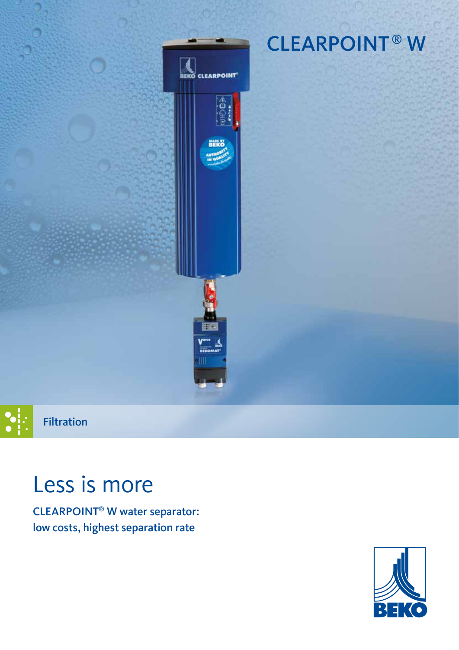

# **CLEARPOINT®W**



# Less is more

CLEARPOINT® W water separator: low costs, highest separation rate

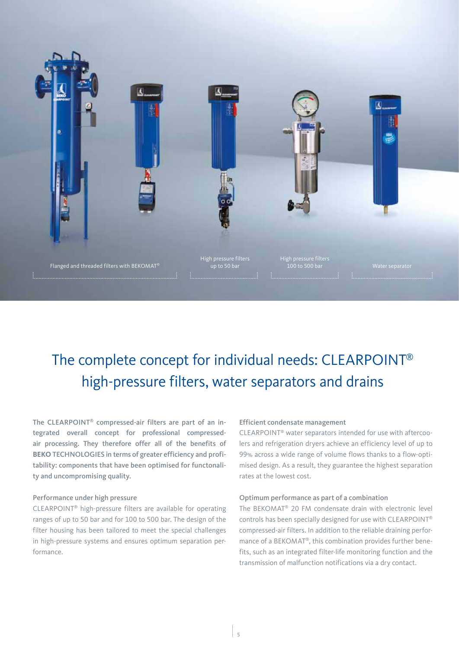

## The complete concept for individual needs: CLEARPOINT® high-pressure filters, water separators and drains

The CLEARPOINT® compressed-air filters are part of an integrated overall concept for professional compressedair processing. They therefore offer all of the benefits of **BEKO** TECHNOLOGIES in terms of greater efficiency and profitability: components that have been optimised for functonality and uncompromising quality.

#### Performance under high pressure

CLEARPOINT® high-pressure filters are available for operating ranges of up to 50 bar and for 100 to 500 bar. The design of the filter housing has been tailored to meet the special challenges in high-pressure systems and ensures optimum separation performance.

#### Efficient condensate management

CLEARPOINT® water separators intended for use with aftercoolers and refrigeration dryers achieve an efficiency level of up to 99% across a wide range of volume flows thanks to a flow-optimised design. As a result, they guarantee the highest separation rates at the lowest cost.

#### Optimum performance as part of a combination

The BEKOMAT® 20 FM condensate drain with electronic level controls has been specially designed for use with CLEARPOINT® compressed-air filters. In addition to the reliable draining performance of a BEKOMAT®, this combination provides further benefits, such as an integrated filter-life monitoring function and the transmission of malfunction notifications via a dry contact.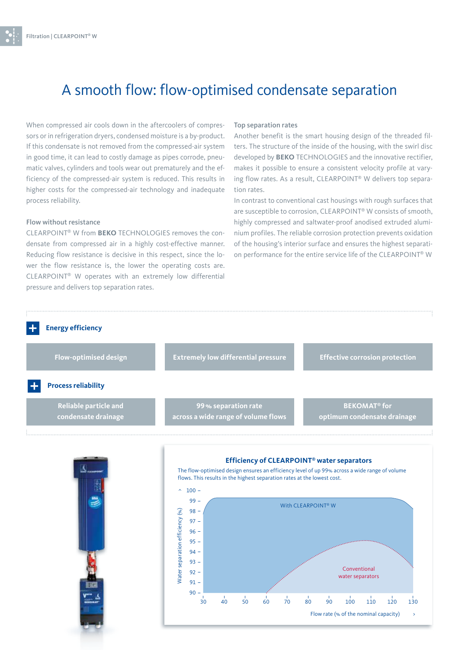### A smooth flow: flow-optimised condensate separation

When compressed air cools down in the aftercoolers of compressors or in refrigeration dryers, condensed moisture is a by-product. If this condensate is not removed from the compressed-air system in good time, it can lead to costly damage as pipes corrode, pneumatic valves, cylinders and tools wear out prematurely and the efficiency of the compressed-air system is reduced. This results in higher costs for the compressed-air technology and inadequate process reliability.

#### Flow without resistance

CLEARPOINT® W from **BEKO** TECHNOLOGIES removes the condensate from compressed air in a highly cost-effective manner. Reducing flow resistance is decisive in this respect, since the lower the flow resistance is, the lower the operating costs are. CLEARPOINT® W operates with an extremely low differential pressure and delivers top separation rates.

#### Top separation rates

Another benefit is the smart housing design of the threaded filters. The structure of the inside of the housing, with the swirl disc developed by **BEKO** TECHNOLOGIES and the innovative rectifier, makes it possible to ensure a consistent velocity profile at varying flow rates. As a result, CLEARPOINT® W delivers top separation rates.

In contrast to conventional cast housings with rough surfaces that are susceptible to corrosion, CLEARPOINT® W consists of smooth, highly compressed and saltwater-proof anodised extruded aluminium profiles. The reliable corrosion protection prevents oxidation of the housing's interior surface and ensures the highest separation performance for the entire service life of the CLEARPOINT® W

30 40 50 60 70 80 90 100 110 120 130

Flow rate (% of the nominal capacity)

 $\ddot{\phantom{1}}$ 



 $90 -$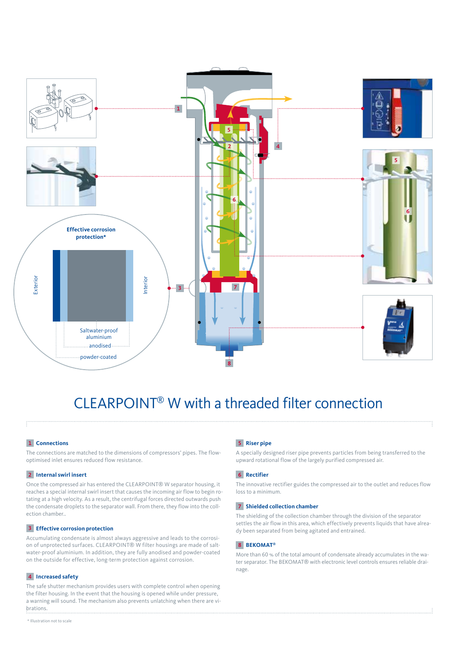

### CLEARPOINT® W with a threaded filter connection

### **1 Connections**

The connections are matched to the dimensions of compressors' pipes. The flowoptimised inlet ensures reduced flow resistance.

#### **2 Internal swirl insert**

Once the compressed air has entered the CLEARPOINT® W separator housing, it reaches a special internal swirl insert that causes the incoming air flow to begin rotating at a high velocity. As a result, the centrifugal forces directed outwards push the condensate droplets to the separator wall. From there, they flow into the collection chamber..

#### **3 Effective corrosion protection**

Accumulating condensate is almost always aggressive and leads to the corrosion of unprotected surfaces. CLEARPOINT® W filter housings are made of saltwater-proof aluminium. In addition, they are fully anodised and powder-coated on the outside for effective, long-term protection against corrosion.

### **4 Increased safety**

The safe shutter mechanism provides users with complete control when opening the filter housing. In the event that the housing is opened while under pressure, a warning will sound. The mechanism also prevents unlatching when there are vibrations.

### **5 Riser pipe**

A specially designed riser pipe prevents particles from being transferred to the upward rotational flow of the largely purified compressed air.

#### **6 Rectifier**

The innovative rectifier guides the compressed air to the outlet and reduces flow loss to a minimum.

#### **7 Shielded collection chamber**

The shielding of the collection chamber through the division of the separator settles the air flow in this area, which effectively prevents liquids that have already been separated from being agitated and entrained.

#### **8 BEKOMAT®**

More than 60 % of the total amount of condensate already accumulates in the water separator. The BEKOMAT® with electronic level controls ensures reliable drainage.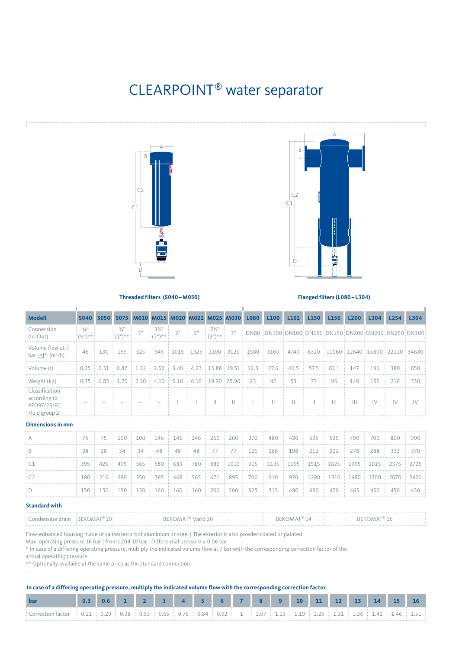### CLEARPOINT® water separator





**Threaded filters (S040–M030) Flanged filters (L080–L304)**

J.

| <b>Modell</b>                                                                    |                                                                   |                                           |                                                                                                                                                                                               |                                  |    |    |                              |    | S040 S050 S075 M010 M015 M020 M022 M025 M030 L080 | L <sub>100</sub> | L <sub>102</sub> | L <sub>150</sub>                                                                                                                                                                                                                                                                          | L <sub>156</sub> | L <sub>200</sub> | L <sub>204</sub> | L <sub>254</sub>                                                                                                           | L304 |
|----------------------------------------------------------------------------------|-------------------------------------------------------------------|-------------------------------------------|-----------------------------------------------------------------------------------------------------------------------------------------------------------------------------------------------|----------------------------------|----|----|------------------------------|----|---------------------------------------------------|------------------|------------------|-------------------------------------------------------------------------------------------------------------------------------------------------------------------------------------------------------------------------------------------------------------------------------------------|------------------|------------------|------------------|----------------------------------------------------------------------------------------------------------------------------|------|
| Connection<br>$ $ (In-Out)                                                       | $\frac{3}{8}$ <sup>11</sup><br>$\frac{1}{2}(\frac{1}{2})^{n}$ * * | $\frac{3}{4}$ <sup>11</sup><br>$:(1")***$ | 1"                                                                                                                                                                                            | $1\frac{1}{2}$<br>$(2^{n})^{**}$ | 2" | 2" | $2\frac{1}{2}$<br>$(3")**$ : | 3" |                                                   |                  |                  |                                                                                                                                                                                                                                                                                           |                  |                  |                  |                                                                                                                            |      |
| Volume flow at 7<br>: bar $\lceil g \rceil$ * (m <sup>3</sup> /h)                |                                                                   |                                           |                                                                                                                                                                                               |                                  |    |    |                              |    |                                                   |                  |                  |                                                                                                                                                                                                                                                                                           |                  |                  |                  | 46   130   195   325   545   1015   1325   2100   3120   1580   3160   4740   6320   11060   12640   15800   22120   34680 |      |
| : Volume (I)                                                                     |                                                                   |                                           |                                                                                                                                                                                               |                                  |    |    |                              |    |                                                   |                  |                  | $\frac{1}{2}$ 0.25 $\frac{1}{2}$ 0.31 $\frac{1}{2}$ 0.87 $\frac{1}{2}$ 1.12 $\frac{1}{2}$ 2.52 $\frac{1}{2}$ 3.40 $\frac{1}{2}$ 4.23 $\frac{1}{2}$ 13.88 $\frac{1}{2}$ 19.51 $\frac{1}{2}$ 12.5 $\frac{1}{2}$ 27.6 $\frac{1}{2}$ 40.5 $\frac{1}{2}$ 57.5 $\frac{1}{2}$ 82.1 $\frac{1}{2}$ |                  | 147              | 196              | 380                                                                                                                        | 650  |
| Weight (kg)                                                                      |                                                                   |                                           | $\frac{1}{2}$ 0.75 $\frac{1}{2}$ 0.85 $\frac{1}{2}$ 1.70 $\frac{1}{2}$ 2.10 $\frac{1}{2}$ 4.10 $\frac{1}{2}$ 5.10 $\frac{1}{2}$ 6.10 $\frac{1}{2}$ 19.90 $\frac{1}{2}$ 25.90 $\frac{1}{2}$ 23 |                                  |    |    |                              |    |                                                   | $\frac{1}{2}$ 42 | 53               | 75                                                                                                                                                                                                                                                                                        | 95               | 140              | 155              | 210                                                                                                                        | 330  |
| : Classification<br>according to<br>: PED97/23/EC<br>$\frac{1}{2}$ Fluid group 2 |                                                                   |                                           |                                                                                                                                                                                               |                                  |    |    |                              | Ш  |                                                   | Ш                |                  |                                                                                                                                                                                                                                                                                           |                  | Ш                | $\mathsf{IV}$    | $1\sqrt{ }$                                                                                                                |      |

Î.

#### **Dimensions in mm**

I.

|  |  |  |  |  |  |  |  | 75 : 75 : 100 : 100 : 146 : 146 : 146 : 260 : 260 : 370 : 480 : 480 : 535 : 535 : 700 : 700 : 800 : 900           |  |
|--|--|--|--|--|--|--|--|-------------------------------------------------------------------------------------------------------------------|--|
|  |  |  |  |  |  |  |  | 28 : 28 : 34 : 34 : 48 : 48 : 48 : 77 : 77 : 126 : 166 : 198 : 212 : 222 : 278 : 288 : 332 : 370                  |  |
|  |  |  |  |  |  |  |  | 395 : 425 : 495 : 565 : 580 : 683 : 780 : 886 :1010 : 915 : 1135 : 1195 : 1515 : 1625 : 1995 : 2015 : 2375 : 2725 |  |
|  |  |  |  |  |  |  |  | 180 : 210 : 280 : 350 : 365 : 468 : 565 : 671 : 895 : 700 : 910 : 970 : 1290 : 1310 : 1680 : 1700 : 2070 : 2420   |  |
|  |  |  |  |  |  |  |  | . 150 : 150 : 150 : 150 : 160 : 160 : 160 : 200 : 200 : 325 : 315 : 480 : 480 : 470 : 465 : 450 : 450 : 430 :     |  |

#### **Standard with**

.

| irain<br><b>ONGOLOGY</b> | ÷RFK(<br>20.<br>$\Delta \Lambda \Delta$ | RFKO<br>$\Delta$<br>vario <sub>4</sub><br><u>. u</u> | . . |  |
|--------------------------|-----------------------------------------|------------------------------------------------------|-----|--|
|                          |                                         |                                                      |     |  |

Flow-enhanced housing made of saltwater-proof aluminium or steel | The exterior is also powder-coated or painted.

Max. operating pressure 16 bar | from L204 10 bar | Differential pressure ≤ 0.06 bar

\* In case of a differing operating pressure, multiply the indicated volume flow at 7 bar with the corresponding correction factor of the

actual operating pressure.

\*\* Optionally available at the same price as the standard connection.

#### **In case of a differing operating pressure, multiply the indicated volume flow with the corresponding correction factor.**

|                                                                                                                                                  |  |  |  | 0.6 1 2 3 4 5 6 7 8 9 10 11 12 |  |  |  | 13 |  |  |
|--------------------------------------------------------------------------------------------------------------------------------------------------|--|--|--|--------------------------------|--|--|--|----|--|--|
| : Correction factor : 0.21 : 0.29 : 0.38 : 0.53 : 0.65 : 0.76 : 0.84 : 0.92 : 1 : 1.07 : 1.13 : 1.19 : 1.25 : 1.31 : 1.36 : 1.41 : 1.46 : 1.51 : |  |  |  |                                |  |  |  |    |  |  |